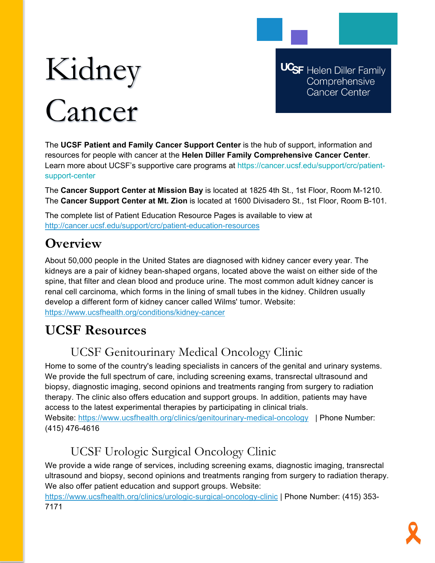# Kidney Cancer

**UCSF** Helen Diller Family Comprehensive **Cancer Center** 

The **UCSF Patient and Family Cancer Support Center** is the hub of support, information and resources for people with cancer at the **Helen Diller Family Comprehensive Cancer Center**. Learn more about UCSF's supportive care programs at https://cancer.ucsf.edu/support/crc/patientsupport-center

The **Cancer Support Center at Mission Bay** is located at 1825 4th St., 1st Floor, Room M-1210. The **Cancer Support Center at Mt. Zion** is located at 1600 Divisadero St., 1st Floor, Room B-101.

The complete list of Patient Education Resource Pages is available to view at <http://cancer.ucsf.edu/support/crc/patient-education-resources>

## **Overview**

About 50,000 people in the United States are diagnosed with kidney cancer every year. The kidneys are a pair of kidney bean-shaped organs, located above the waist on either side of the spine, that filter and clean blood and produce urine. The most common adult kidney cancer is renal cell carcinoma, which forms in the lining of small tubes in the kidney. Children usually develop a different form of kidney cancer called Wilms' tumor. Website: <https://www.ucsfhealth.org/conditions/kidney-cancer>

# **UCSF Resources**

## UCSF Genitourinary Medical Oncology Clinic

Home to some of the country's leading specialists in cancers of the genital and urinary systems. We provide the full spectrum of care, including screening exams, transrectal ultrasound and biopsy, diagnostic imaging, second opinions and treatments ranging from surgery to radiation therapy. The clinic also offers education and support groups. In addition, patients may have access to the latest experimental therapies by participating in clinical trials.

Website:<https://www.ucsfhealth.org/clinics/genitourinary-medical-oncology>| Phone Number: (415) 476-4616

# UCSF Urologic Surgical Oncology Clinic

We provide a wide range of services, including screening exams, diagnostic imaging, transrectal ultrasound and biopsy, second opinions and treatments ranging from surgery to radiation therapy. We also offer patient education and support groups. Website:

<https://www.ucsfhealth.org/clinics/urologic-surgical-oncology-clinic> | Phone Number: (415) 353- 7171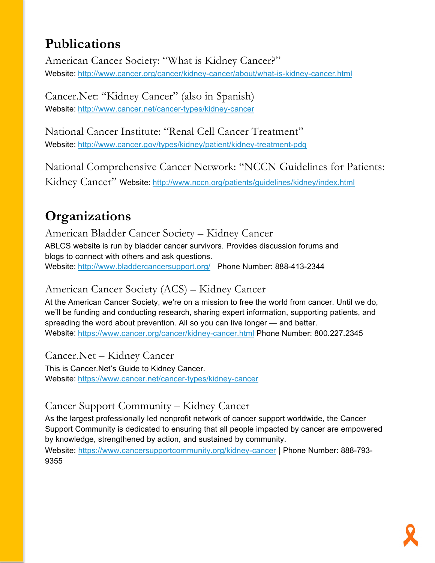# **Publications**

American Cancer Society: "What is Kidney Cancer?" Website: <http://www.cancer.org/cancer/kidney-cancer/about/what-is-kidney-cancer.html>

Cancer.Net: "Kidney Cancer" (also in Spanish) Website: <http://www.cancer.net/cancer-types/kidney-cancer>

National Cancer Institute: "Renal Cell Cancer Treatment" Website: <http://www.cancer.gov/types/kidney/patient/kidney-treatment-pdq>

National Comprehensive Cancer Network: "NCCN Guidelines for Patients: Kidney Cancer" Website: <http://www.nccn.org/patients/guidelines/kidney/index.html>

# **Organizations**

American Bladder Cancer Society – Kidney Cancer ABLCS website is run by bladder cancer survivors. Provides discussion forums and blogs to connect with others and ask questions. Website: <http://www.bladdercancersupport.org/> Phone Number: 888-413-2344

## American Cancer Society (ACS) – Kidney Cancer

At the American Cancer Society, we're on a mission to free the world from cancer. Until we do, we'll be funding and conducting research, sharing expert information, supporting patients, and spreading the word about prevention. All so you can live longer — and better. Website: <https://www.cancer.org/cancer/kidney-cancer.html> Phone Number: 800.227.2345

Cancer.Net – Kidney Cancer This is Cancer.Net's Guide to Kidney Cancer. Website: <https://www.cancer.net/cancer-types/kidney-cancer>

## Cancer Support Community – Kidney Cancer

As the largest professionally led nonprofit network of cancer support worldwide, the Cancer Support Community is dedicated to ensuring that all people impacted by cancer are empowered by knowledge, strengthened by action, and sustained by community.

Website:<https://www.cancersupportcommunity.org/kidney-cancer> | Phone Number: 888-793- 9355